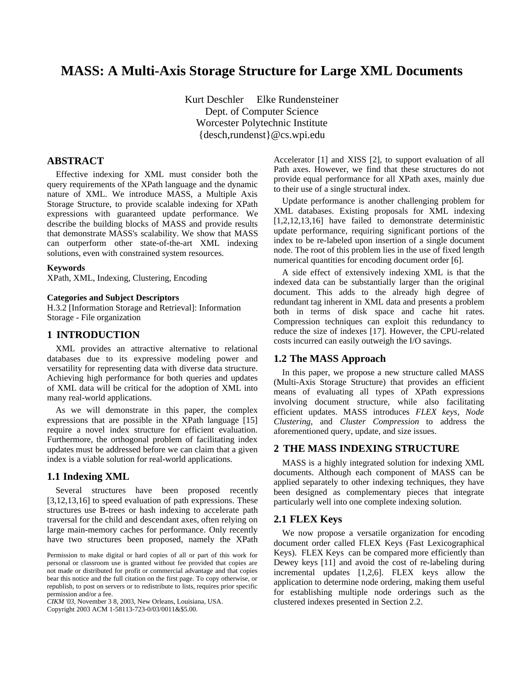# **MASS: A Multi-Axis Storage Structure for Large XML Documents**

Kurt Deschler Elke Rundensteiner Dept. of Computer Science Worcester Polytechnic Institute {desch,rundenst}@cs.wpi.edu

# **ABSTRACT**

Effective indexing for XML must consider both the query requirements of the XPath language and the dynamic nature of XML. We introduce MASS, a Multiple Axis Storage Structure, to provide scalable indexing for XPath expressions with guaranteed update performance. We describe the building blocks of MASS and provide results that demonstrate MASS's scalability. We show that MASS can outperform other state-of-the-art XML indexing solutions, even with constrained system resources.

#### **Keywords**

XPath, XML, Indexing, Clustering, Encoding

#### **Categories and Subject Descriptors**

H.3.2 [Information Storage and Retrieval]: Information Storage - File organization

# **1 INTRODUCTION**

XML provides an attractive alternative to relational databases due to its expressive modeling power and versatility for representing data with diverse data structure. Achieving high performance for both queries and updates of XML data will be critical for the adoption of XML into many real-world applications.

As we will demonstrate in this paper, the complex expressions that are possible in the XPath language [15] require a novel index structure for efficient evaluation. Furthermore, the orthogonal problem of facilitating index updates must be addressed before we can claim that a given index is a viable solution for real-world applications.

### **1.1 Indexing XML**

Several structures have been proposed recently [3,12,13,16] to speed evaluation of path expressions. These structures use B-trees or hash indexing to accelerate path traversal for the child and descendant axes, often relying on large main-memory caches for performance. Only recently have two structures been proposed, namely the XPath

*CIKM '03*, November 3 8, 2003, New Orleans, Louisiana, USA.

Copyright 2003 ACM 1-58113-723-0/03/0011&\$5.00.

Accelerator [1] and XISS [2], to support evaluation of all Path axes. However, we find that these structures do not provide equal performance for all XPath axes, mainly due to their use of a single structural index.

Update performance is another challenging problem for XML databases. Existing proposals for XML indexing [1,2,12,13,16] have failed to demonstrate deterministic update performance, requiring significant portions of the index to be re-labeled upon insertion of a single document node. The root of this problem lies in the use of fixed length numerical quantities for encoding document order [6].

A side effect of extensively indexing XML is that the indexed data can be substantially larger than the original document. This adds to the already high degree of redundant tag inherent in XML data and presents a problem both in terms of disk space and cache hit rates. Compression techniques can exploit this redundancy to reduce the size of indexes [17]. However, the CPU-related costs incurred can easily outweigh the I/O savings.

### **1.2 The MASS Approach**

In this paper, we propose a new structure called MASS (Multi-Axis Storage Structure) that provides an efficient means of evaluating all types of XPath expressions involving document structure, while also facilitating efficient updates. MASS introduces *FLEX keys*, *Node Clustering*, and *Cluster Compression* to address the aforementioned query, update, and size issues.

## **2 THE MASS INDEXING STRUCTURE**

MASS is a highly integrated solution for indexing XML documents. Although each component of MASS can be applied separately to other indexing techniques, they have been designed as complementary pieces that integrate particularly well into one complete indexing solution.

### **2.1 FLEX Keys**

We now propose a versatile organization for encoding document order called FLEX Keys (Fast Lexicographical Keys). FLEX Keys can be compared more efficiently than Dewey keys [11] and avoid the cost of re-labeling during incremental updates [1,2,6]. FLEX keys allow the application to determine node ordering, making them useful for establishing multiple node orderings such as the clustered indexes presented in Section 2.2.

Permission to make digital or hard copies of all or part of this work for personal or classroom use is granted without fee provided that copies are not made or distributed for profit or commercial advantage and that copies bear this notice and the full citation on the first page. To copy otherwise, or republish, to post on servers or to redistribute to lists, requires prior specific permission and/or a fee.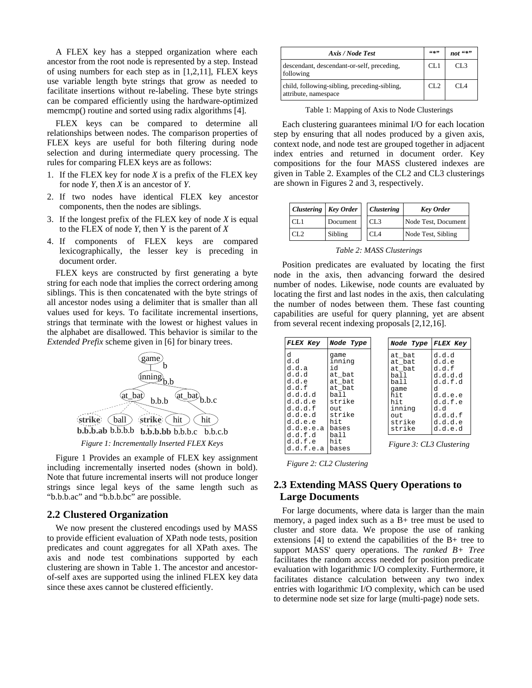A FLEX key has a stepped organization where each ancestor from the root node is represented by a step. Instead of using numbers for each step as in [1,2,11], FLEX keys use variable length byte strings that grow as needed to facilitate insertions without re-labeling. These byte strings can be compared efficiently using the hardware-optimized memcmp() routine and sorted using radix algorithms [4].

FLEX keys can be compared to determine all relationships between nodes. The comparison properties of FLEX keys are useful for both filtering during node selection and during intermediate query processing. The rules for comparing FLEX keys are as follows:

- 1. If the FLEX key for node *X* is a prefix of the FLEX key for node *Y*, then *X* is an ancestor of *Y*.
- 2. If two nodes have identical FLEX key ancestor components, then the nodes are siblings.
- 3. If the longest prefix of the FLEX key of node *X* is equal to the FLEX of node *Y*, then Y is the parent of *X*
- 4. If components of FLEX keys are compared lexicographically, the lesser key is preceding in document order.

FLEX keys are constructed by first generating a byte string for each node that implies the correct ordering among siblings. This is then concatenated with the byte strings of all ancestor nodes using a delimiter that is smaller than all values used for keys. To facilitate incremental insertions, strings that terminate with the lowest or highest values in the alphabet are disallowed. This behavior is similar to the *Extended Prefix* scheme given in [6] for binary trees.



Figure 1 Provides an example of FLEX key assignment including incrementally inserted nodes (shown in bold). Note that future incremental inserts will not produce longer strings since legal keys of the same length such as "b.b.b.ac" and "b.b.b.bc" are possible.

## **2.2 Clustered Organization**

We now present the clustered encodings used by MASS to provide efficient evaluation of XPath node tests, position predicates and count aggregates for all XPath axes. The axis and node test combinations supported by each clustering are shown in Table 1. The ancestor and ancestorof-self axes are supported using the inlined FLEX key data since these axes cannot be clustered efficiently.

| Axis / Node Test                                                     | 66, 99          | $66*22$         |
|----------------------------------------------------------------------|-----------------|-----------------|
| descendant, descendant-or-self, preceding,<br>following              | CL1             | CL <sub>3</sub> |
| child, following-sibling, preceding-sibling,<br>attribute, namespace | CL <sub>2</sub> | CI 4            |

Table 1: Mapping of Axis to Node Clusterings

Each clustering guarantees minimal I/O for each location step by ensuring that all nodes produced by a given axis, context node, and node test are grouped together in adjacent index entries and returned in document order. Key compositions for the four MASS clustered indexes are given in Table 2. Examples of the CL2 and CL3 clusterings are shown in Figures 2 and 3, respectively.

| Clustering   Key Order |          | <b>Clustering</b> | <b>Key Order</b>    |  |  |
|------------------------|----------|-------------------|---------------------|--|--|
| CL1                    | Document | CL3               | Node Test, Document |  |  |
| CL <sub>2</sub>        | Sibling  | CL <sub>4</sub>   | Node Test, Sibling  |  |  |

*Table 2: MASS Clusterings*

Position predicates are evaluated by locating the first node in the axis, then advancing forward the desired number of nodes. Likewise, node counts are evaluated by locating the first and last nodes in the axis, then calculating the number of nodes between them. These fast counting capabilities are useful for query planning, yet are absent from several recent indexing proposals [2,12,16].

| FLEX Key                                                                                                                                            | Node Type                                                                                                                        | Node Type                                                                                                                            | <b>FLEX Key</b>                                                                                                  |
|-----------------------------------------------------------------------------------------------------------------------------------------------------|----------------------------------------------------------------------------------------------------------------------------------|--------------------------------------------------------------------------------------------------------------------------------------|------------------------------------------------------------------------------------------------------------------|
| d<br>d.d<br>d.d.a<br>d.d.d<br>d.d.e<br>d.d.f<br>d.d.d.d<br>d.d.d.e<br>d.d.d.f<br>d.d.e.d<br>d.d.e.e<br>d.d.e.e.a<br>d.d.f.d<br>d.d.f.e<br>d.d.f.e.a | qame<br>inning<br>id<br>at bat<br>at bat<br>at bat<br>ball<br>strike<br>out.<br>strike<br>hit.<br>bases<br>ball<br>hit.<br>bases | at bat<br>at bat<br>at bat<br>ball<br>ball<br>game<br>hit.<br>hit.<br>inning<br>out.<br>strike<br>strike<br>Figure 3: CL3 Clustering | d.d.d<br>d.d.e<br>d.d.f<br>d.d.d.d<br>d.d.f.d<br>d<br>d.d.e.e<br>d.d.f.e<br>h.b<br>d.d.d.f<br>d.d.d.e<br>d.d.e.d |

*Figure 2: CL2 Clustering*

# **2.3 Extending MASS Query Operations to Large Documents**

For large documents, where data is larger than the main memory, a paged index such as a B+ tree must be used to cluster and store data. We propose the use of ranking extensions [4] to extend the capabilities of the B+ tree to support MASS' query operations. The *ranked B+ Tree* facilitates the random access needed for position predicate evaluation with logarithmic I/O complexity. Furthermore, it facilitates distance calculation between any two index entries with logarithmic I/O complexity, which can be used to determine node set size for large (multi-page) node sets.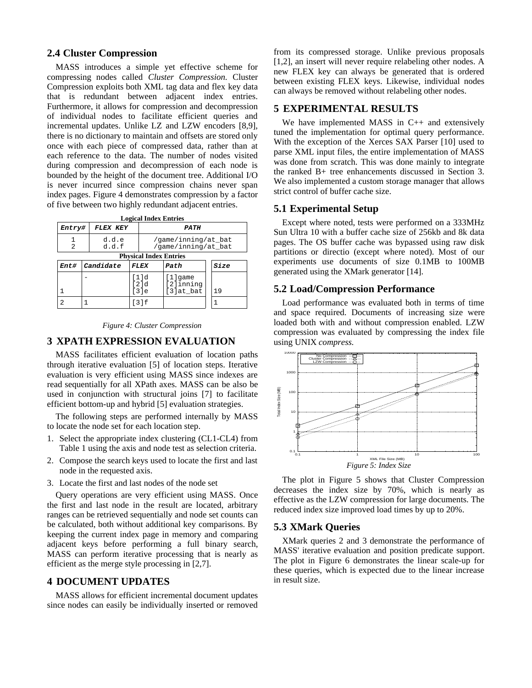# **2.4 Cluster Compression**

MASS introduces a simple yet effective scheme for compressing nodes called *Cluster Compression*. Cluster Compression exploits both XML tag data and flex key data that is redundant between adjacent index entries. Furthermore, it allows for compression and decompression of individual nodes to facilitate efficient queries and incremental updates. Unlike LZ and LZW encoders [8,9], there is no dictionary to maintain and offsets are stored only once with each piece of compressed data, rather than at each reference to the data. The number of nodes visited during compression and decompression of each node is bounded by the height of the document tree. Additional I/O is never incurred since compression chains never span index pages. Figure 4 demonstrates compression by a factor of five between two highly redundant adjacent entries.

|  |  | <b>Logical Index Entries</b> |
|--|--|------------------------------|
|--|--|------------------------------|

| <i>Entry#</i> |                               | <b>FLEX KEY</b> |                                            | <i><b>PATH</b></i>   |                                   |  |             |
|---------------|-------------------------------|-----------------|--------------------------------------------|----------------------|-----------------------------------|--|-------------|
| 2             |                               | d.d.e<br>d.d.f  | /game/inning/at bat<br>/game/inning/at bat |                      |                                   |  |             |
|               | <b>Physical Index Entries</b> |                 |                                            |                      |                                   |  |             |
| Ent#          |                               | Candidate       |                                            | FLEX                 | Path                              |  | <i>Size</i> |
|               |                               |                 |                                            | [1]d<br>[2]d<br>「31e | [1]qame<br>[2]inning<br>[3]at_bat |  | 19          |
|               |                               |                 |                                            | 「31f                 |                                   |  |             |

#### *Figure 4: Cluster Compression*

# **3 XPATH EXPRESSION EVALUATION**

MASS facilitates efficient evaluation of location paths through iterative evaluation [5] of location steps. Iterative evaluation is very efficient using MASS since indexes are read sequentially for all XPath axes. MASS can be also be used in conjunction with structural joins [7] to facilitate efficient bottom-up and hybrid [5] evaluation strategies.

The following steps are performed internally by MASS to locate the node set for each location step.

- 1. Select the appropriate index clustering (CL1-CL4) from Table 1 using the axis and node test as selection criteria.
- 2. Compose the search keys used to locate the first and last node in the requested axis.
- 3. Locate the first and last nodes of the node set

Query operations are very efficient using MASS. Once the first and last node in the result are located, arbitrary ranges can be retrieved sequentially and node set counts can be calculated, both without additional key comparisons. By keeping the current index page in memory and comparing adjacent keys before performing a full binary search, MASS can perform iterative processing that is nearly as efficient as the merge style processing in [2,7].

# **4 DOCUMENT UPDATES**

MASS allows for efficient incremental document updates since nodes can easily be individually inserted or removed from its compressed storage. Unlike previous proposals [1,2], an insert will never require relabeling other nodes. A new FLEX key can always be generated that is ordered between existing FLEX keys. Likewise, individual nodes can always be removed without relabeling other nodes.

# **5 EXPERIMENTAL RESULTS**

We have implemented MASS in C++ and extensively tuned the implementation for optimal query performance. With the exception of the Xerces SAX Parser [10] used to parse XML input files, the entire implementation of MASS was done from scratch. This was done mainly to integrate the ranked B+ tree enhancements discussed in Section 3. We also implemented a custom storage manager that allows strict control of buffer cache size.

### **5.1 Experimental Setup**

Except where noted, tests were performed on a 333MHz Sun Ultra 10 with a buffer cache size of 256kb and 8k data pages. The OS buffer cache was bypassed using raw disk partitions or directio (except where noted). Most of our experiments use documents of size 0.1MB to 100MB generated using the XMark generator [14].

# **5.2 Load/Compression Performance**

Load performance was evaluated both in terms of time and space required. Documents of increasing size were loaded both with and without compression enabled. LZW compression was evaluated by compressing the index file using UNIX *compress.*



The plot in Figure 5 shows that Cluster Compression decreases the index size by 70%, which is nearly as effective as the LZW compression for large documents. The reduced index size improved load times by up to 20%.

### **5.3 XMark Queries**

XMark queries 2 and 3 demonstrate the performance of MASS' iterative evaluation and position predicate support. The plot in Figure 6 demonstrates the linear scale-up for these queries, which is expected due to the linear increase in result size.